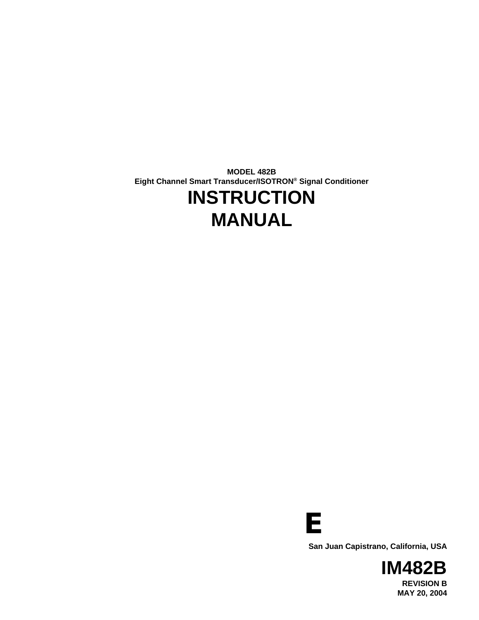**MODEL 482B Eight Channel Smart Transducer/ISOTRON® Signal Conditioner**

# **INSTRUCTION MANUAL**



**San Juan Capistrano, California, USA**

**IM482B REVISION B MAY 20, 2004**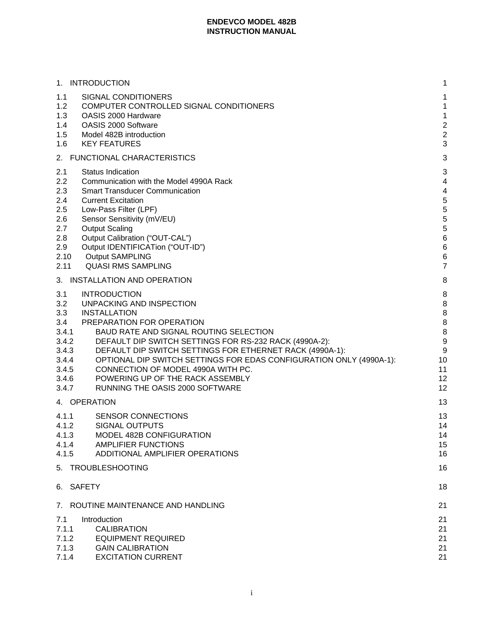|                                                                                         | 1. INTRODUCTION                                                                                                                                                                                                                                                                                                                                                                                                                                         | 1                                                                            |
|-----------------------------------------------------------------------------------------|---------------------------------------------------------------------------------------------------------------------------------------------------------------------------------------------------------------------------------------------------------------------------------------------------------------------------------------------------------------------------------------------------------------------------------------------------------|------------------------------------------------------------------------------|
| 1.1<br>1.2<br>1.3<br>1.4<br>1.5<br>1.6                                                  | SIGNAL CONDITIONERS<br>COMPUTER CONTROLLED SIGNAL CONDITIONERS<br>OASIS 2000 Hardware<br>OASIS 2000 Software<br>Model 482B introduction<br><b>KEY FEATURES</b>                                                                                                                                                                                                                                                                                          | 1<br>$\mathbf{1}$<br>$\mathbf{1}$<br>$\overline{2}$<br>$\overline{2}$<br>3   |
|                                                                                         | 2. FUNCTIONAL CHARACTERISTICS                                                                                                                                                                                                                                                                                                                                                                                                                           | 3                                                                            |
| 2.1<br>2.2<br>2.3<br>2.4<br>2.5<br>2.6<br>2.7<br>2.8<br>2.9<br>2.10<br>2.11             | <b>Status Indication</b><br>Communication with the Model 4990A Rack<br><b>Smart Transducer Communication</b><br><b>Current Excitation</b><br>Low-Pass Filter (LPF)<br>Sensor Sensitivity (mV/EU)<br><b>Output Scaling</b><br>Output Calibration ("OUT-CAL")<br>Output IDENTIFICATion ("OUT-ID")<br><b>Output SAMPLING</b><br><b>QUASI RMS SAMPLING</b>                                                                                                  | 3<br>4<br>4<br>5<br>5<br>5<br>5<br>$\,6$<br>$\,6$<br>$\,6$<br>$\overline{7}$ |
|                                                                                         | 3. INSTALLATION AND OPERATION                                                                                                                                                                                                                                                                                                                                                                                                                           | 8                                                                            |
| 3.1<br>3.2<br>3.3<br>3.4<br>3.4.1<br>3.4.2<br>3.4.3<br>3.4.4<br>3.4.5<br>3.4.6<br>3.4.7 | <b>INTRODUCTION</b><br>UNPACKING AND INSPECTION<br><b>INSTALLATION</b><br>PREPARATION FOR OPERATION<br>BAUD RATE AND SIGNAL ROUTING SELECTION<br>DEFAULT DIP SWITCH SETTINGS FOR RS-232 RACK (4990A-2):<br>DEFAULT DIP SWITCH SETTINGS FOR ETHERNET RACK (4990A-1):<br>OPTIONAL DIP SWITCH SETTINGS FOR EDAS CONFIGURATION ONLY (4990A-1):<br>CONNECTION OF MODEL 4990A WITH PC.<br>POWERING UP OF THE RACK ASSEMBLY<br>RUNNING THE OASIS 2000 SOFTWARE | 8<br>8<br>8<br>8<br>8<br>9<br>9<br>10<br>11<br>12<br>12                      |
|                                                                                         | 4. OPERATION                                                                                                                                                                                                                                                                                                                                                                                                                                            | 13                                                                           |
| 4.1.1<br>4.1.2<br>4.1.3<br>4.1.4<br>4.1.5                                               | <b>SENSOR CONNECTIONS</b><br><b>SIGNAL OUTPUTS</b><br>MODEL 482B CONFIGURATION<br><b>AMPLIFIER FUNCTIONS</b><br>ADDITIONAL AMPLIFIER OPERATIONS                                                                                                                                                                                                                                                                                                         | 13<br>14<br>14<br>15<br>16                                                   |
|                                                                                         | 5. TROUBLESHOOTING                                                                                                                                                                                                                                                                                                                                                                                                                                      | 16                                                                           |
| 6.                                                                                      | <b>SAFETY</b>                                                                                                                                                                                                                                                                                                                                                                                                                                           | 18                                                                           |
|                                                                                         | 7. ROUTINE MAINTENANCE AND HANDLING                                                                                                                                                                                                                                                                                                                                                                                                                     | 21                                                                           |
| 7.1<br>7.1.1<br>7.1.2<br>7.1.3<br>7.1.4                                                 | Introduction<br><b>CALIBRATION</b><br><b>EQUIPMENT REQUIRED</b><br><b>GAIN CALIBRATION</b><br><b>EXCITATION CURRENT</b>                                                                                                                                                                                                                                                                                                                                 | 21<br>21<br>21<br>21<br>21                                                   |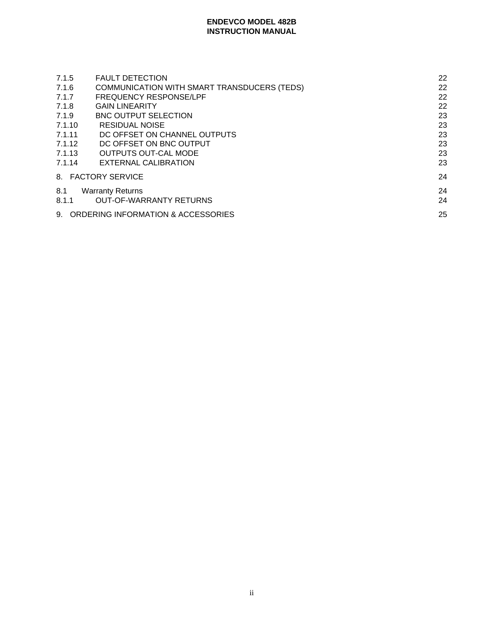| <b>FAULT DETECTION</b>                      | 22 |
|---------------------------------------------|----|
| COMMUNICATION WITH SMART TRANSDUCERS (TEDS) | 22 |
| <b>FREQUENCY RESPONSE/LPF</b>               | 22 |
| <b>GAIN LINEARITY</b>                       | 22 |
| <b>BNC OUTPUT SELECTION</b>                 | 23 |
| <b>RESIDUAL NOISE</b>                       | 23 |
| DC OFFSET ON CHANNEL OUTPUTS                | 23 |
| DC OFFSET ON BNC OUTPUT                     | 23 |
| <b>OUTPUTS OUT-CAL MODE</b>                 | 23 |
| EXTERNAL CALIBRATION                        | 23 |
| 8. FACTORY SERVICE                          | 24 |
| <b>Warranty Returns</b>                     | 24 |
| <b>OUT-OF-WARRANTY RETURNS</b>              | 24 |
| 9. ORDERING INFORMATION & ACCESSORIES       | 25 |
|                                             |    |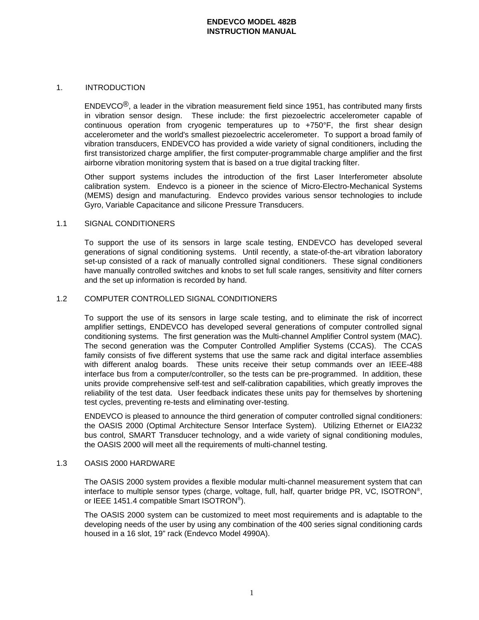## 1. INTRODUCTION

 $ENDEVCO<sup>®</sup>$ , a leader in the vibration measurement field since 1951, has contributed many firsts in vibration sensor design. These include: the first piezoelectric accelerometer capable of continuous operation from cryogenic temperatures up to +750°F, the first shear design accelerometer and the world's smallest piezoelectric accelerometer. To support a broad family of vibration transducers, ENDEVCO has provided a wide variety of signal conditioners, including the first transistorized charge amplifier, the first computer-programmable charge amplifier and the first airborne vibration monitoring system that is based on a true digital tracking filter.

Other support systems includes the introduction of the first Laser Interferometer absolute calibration system. Endevco is a pioneer in the science of Micro-Electro-Mechanical Systems (MEMS) design and manufacturing. Endevco provides various sensor technologies to include Gyro, Variable Capacitance and silicone Pressure Transducers.

## 1.1 SIGNAL CONDITIONERS

To support the use of its sensors in large scale testing, ENDEVCO has developed several generations of signal conditioning systems. Until recently, a state-of-the-art vibration laboratory set-up consisted of a rack of manually controlled signal conditioners. These signal conditioners have manually controlled switches and knobs to set full scale ranges, sensitivity and filter corners and the set up information is recorded by hand.

## 1.2 COMPUTER CONTROLLED SIGNAL CONDITIONERS

To support the use of its sensors in large scale testing, and to eliminate the risk of incorrect amplifier settings, ENDEVCO has developed several generations of computer controlled signal conditioning systems. The first generation was the Multi-channel Amplifier Control system (MAC). The second generation was the Computer Controlled Amplifier Systems (CCAS). The CCAS family consists of five different systems that use the same rack and digital interface assemblies with different analog boards. These units receive their setup commands over an IEEE-488 interface bus from a computer/controller, so the tests can be pre-programmed. In addition, these units provide comprehensive self-test and self-calibration capabilities, which greatly improves the reliability of the test data. User feedback indicates these units pay for themselves by shortening test cycles, preventing re-tests and eliminating over-testing.

ENDEVCO is pleased to announce the third generation of computer controlled signal conditioners: the OASIS 2000 (Optimal Architecture Sensor Interface System). Utilizing Ethernet or EIA232 bus control, SMART Transducer technology, and a wide variety of signal conditioning modules, the OASIS 2000 will meet all the requirements of multi-channel testing.

#### 1.3 OASIS 2000 HARDWARE

The OASIS 2000 system provides a flexible modular multi-channel measurement system that can interface to multiple sensor types (charge, voltage, full, half, quarter bridge PR, VC, ISOTRON®, or IEEE 1451.4 compatible Smart ISOTRON®).

The OASIS 2000 system can be customized to meet most requirements and is adaptable to the developing needs of the user by using any combination of the 400 series signal conditioning cards housed in a 16 slot, 19" rack (Endevco Model 4990A).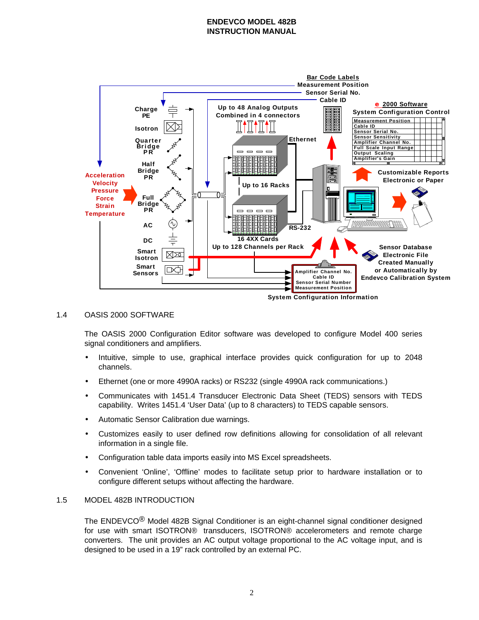

## 1.4 OASIS 2000 SOFTWARE

The OASIS 2000 Configuration Editor software was developed to configure Model 400 series signal conditioners and amplifiers.

- Intuitive, simple to use, graphical interface provides quick configuration for up to 2048 channels.
- Ethernet (one or more 4990A racks) or RS232 (single 4990A rack communications.)
- Communicates with 1451.4 Transducer Electronic Data Sheet (TEDS) sensors with TEDS capability. Writes 1451.4 'User Data' (up to 8 characters) to TEDS capable sensors.
- Automatic Sensor Calibration due warnings.
- Customizes easily to user defined row definitions allowing for consolidation of all relevant information in a single file.
- Configuration table data imports easily into MS Excel spreadsheets.
- Convenient 'Online', 'Offline' modes to facilitate setup prior to hardware installation or to configure different setups without affecting the hardware.

## 1.5 MODEL 482B INTRODUCTION

The ENDEVCO® Model 482B Signal Conditioner is an eight-channel signal conditioner designed for use with smart ISOTRON® transducers, ISOTRON® accelerometers and remote charge converters. The unit provides an AC output voltage proportional to the AC voltage input, and is designed to be used in a 19" rack controlled by an external PC.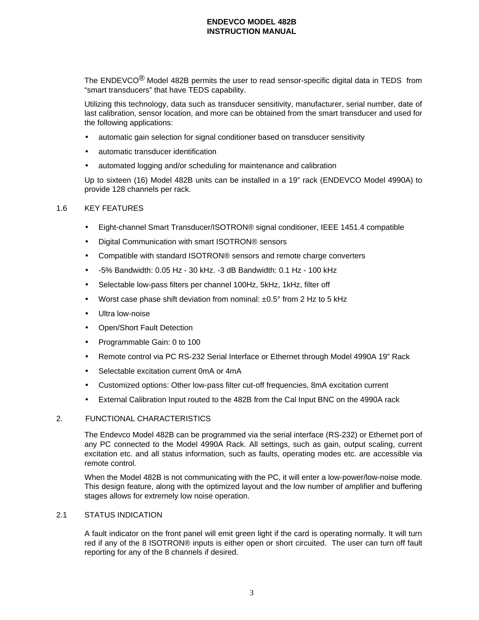The ENDEVCO<sup>®</sup> Model 482B permits the user to read sensor-specific digital data in TEDS from "smart transducers" that have TEDS capability.

Utilizing this technology, data such as transducer sensitivity, manufacturer, serial number, date of last calibration, sensor location, and more can be obtained from the smart transducer and used for the following applications:

- automatic gain selection for signal conditioner based on transducer sensitivity
- automatic transducer identification
- automated logging and/or scheduling for maintenance and calibration

Up to sixteen (16) Model 482B units can be installed in a 19" rack (ENDEVCO Model 4990A) to provide 128 channels per rack.

# 1.6 KEY FEATURES

- Eight-channel Smart Transducer/ISOTRON® signal conditioner, IEEE 1451.4 compatible
- Digital Communication with smart ISOTRON® sensors
- Compatible with standard ISOTRON® sensors and remote charge converters
- -5% Bandwidth: 0.05 Hz 30 kHz. -3 dB Bandwidth: 0.1 Hz 100 kHz
- Selectable low-pass filters per channel 100Hz, 5kHz, 1kHz, filter off
- Worst case phase shift deviation from nominal:  $\pm 0.5^\circ$  from 2 Hz to 5 kHz
- Ultra low-noise
- Open/Short Fault Detection
- Programmable Gain: 0 to 100
- Remote control via PC RS-232 Serial Interface or Ethernet through Model 4990A 19" Rack
- Selectable excitation current 0mA or 4mA
- Customized options: Other low-pass filter cut-off frequencies, 8mA excitation current
- External Calibration Input routed to the 482B from the Cal Input BNC on the 4990A rack

## 2. FUNCTIONAL CHARACTERISTICS

The Endevco Model 482B can be programmed via the serial interface (RS-232) or Ethernet port of any PC connected to the Model 4990A Rack. All settings, such as gain, output scaling, current excitation etc. and all status information, such as faults, operating modes etc. are accessible via remote control.

When the Model 482B is not communicating with the PC, it will enter a low-power/low-noise mode. This design feature, along with the optimized layout and the low number of amplifier and buffering stages allows for extremely low noise operation.

#### 2.1 STATUS INDICATION

A fault indicator on the front panel will emit green light if the card is operating normally. It will turn red if any of the 8 ISOTRON® inputs is either open or short circuited. The user can turn off fault reporting for any of the 8 channels if desired.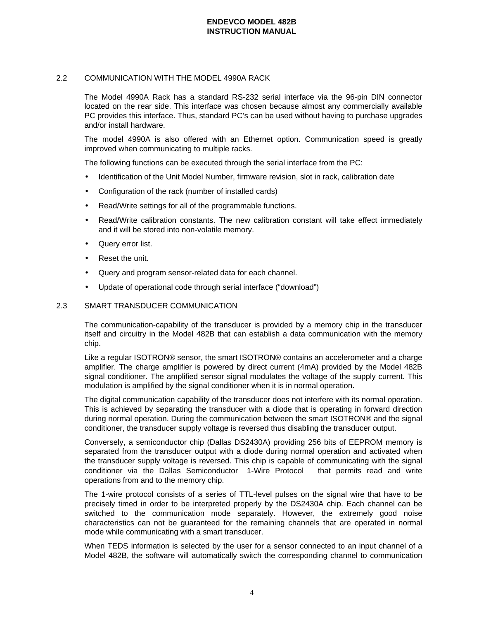# 2.2 COMMUNICATION WITH THE MODEL 4990A RACK

The Model 4990A Rack has a standard RS-232 serial interface via the 96-pin DIN connector located on the rear side. This interface was chosen because almost any commercially available PC provides this interface. Thus, standard PC's can be used without having to purchase upgrades and/or install hardware.

The model 4990A is also offered with an Ethernet option. Communication speed is greatly improved when communicating to multiple racks.

The following functions can be executed through the serial interface from the PC:

- Identification of the Unit Model Number, firmware revision, slot in rack, calibration date
- Configuration of the rack (number of installed cards)
- Read/Write settings for all of the programmable functions.
- Read/Write calibration constants. The new calibration constant will take effect immediately and it will be stored into non-volatile memory.
- Query error list.
- Reset the unit.
- Query and program sensor-related data for each channel.
- Update of operational code through serial interface ("download")

## 2.3 SMART TRANSDUCER COMMUNICATION

The communication-capability of the transducer is provided by a memory chip in the transducer itself and circuitry in the Model 482B that can establish a data communication with the memory chip.

Like a regular ISOTRON® sensor, the smart ISOTRON® contains an accelerometer and a charge amplifier. The charge amplifier is powered by direct current (4mA) provided by the Model 482B signal conditioner. The amplified sensor signal modulates the voltage of the supply current. This modulation is amplified by the signal conditioner when it is in normal operation.

The digital communication capability of the transducer does not interfere with its normal operation. This is achieved by separating the transducer with a diode that is operating in forward direction during normal operation. During the communication between the smart ISOTRON® and the signal conditioner, the transducer supply voltage is reversed thus disabling the transducer output.

Conversely, a semiconductor chip (Dallas DS2430A) providing 256 bits of EEPROM memory is separated from the transducer output with a diode during normal operation and activated when the transducer supply voltage is reversed. This chip is capable of communicating with the signal conditioner via the Dallas Semiconductor <sup>®</sup>1-Wire Protocol <sup>®</sup> that permits read and write operations from and to the memory chip.

The 1-wire protocol consists of a series of TTL-level pulses on the signal wire that have to be precisely timed in order to be interpreted properly by the DS2430A chip. Each channel can be switched to the communication mode separately. However, the extremely good noise characteristics can not be guaranteed for the remaining channels that are operated in normal mode while communicating with a smart transducer.

When TEDS information is selected by the user for a sensor connected to an input channel of a Model 482B, the software will automatically switch the corresponding channel to communication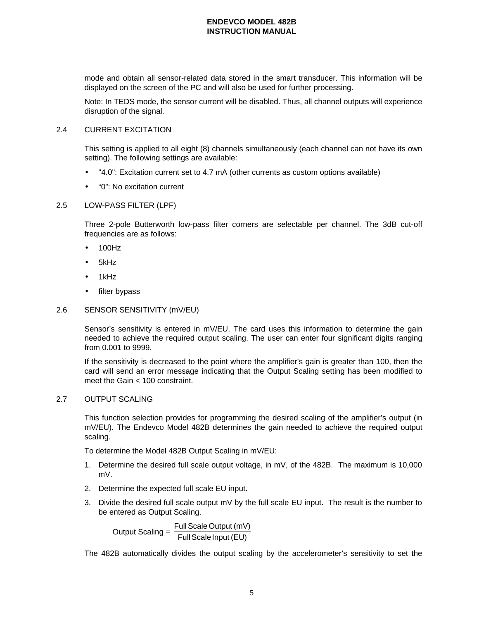mode and obtain all sensor-related data stored in the smart transducer. This information will be displayed on the screen of the PC and will also be used for further processing.

Note: In TEDS mode, the sensor current will be disabled. Thus, all channel outputs will experience disruption of the signal.

## 2.4 CURRENT EXCITATION

This setting is applied to all eight (8) channels simultaneously (each channel can not have its own setting). The following settings are available:

- "4.0": Excitation current set to 4.7 mA (other currents as custom options available)
- "0": No excitation current

## 2.5 LOW-PASS FILTER (LPF)

Three 2-pole Butterworth low-pass filter corners are selectable per channel. The 3dB cut-off frequencies are as follows:

- 100Hz
- 5kHz
- 1kHz
- filter bypass

## 2.6 SENSOR SENSITIVITY (mV/EU)

Sensor's sensitivity is entered in mV/EU. The card uses this information to determine the gain needed to achieve the required output scaling. The user can enter four significant digits ranging from 0.001 to 9999.

If the sensitivity is decreased to the point where the amplifier's gain is greater than 100, then the card will send an error message indicating that the Output Scaling setting has been modified to meet the Gain < 100 constraint.

#### 2.7 OUTPUT SCALING

This function selection provides for programming the desired scaling of the amplifier's output (in mV/EU). The Endevco Model 482B determines the gain needed to achieve the required output scaling.

To determine the Model 482B Output Scaling in mV/EU:

- 1. Determine the desired full scale output voltage, in mV, of the 482B. The maximum is 10,000 mV.
- 2. Determine the expected full scale EU input.
- 3. Divide the desired full scale output mV by the full scale EU input. The result is the number to be entered as Output Scaling.

Output Scaling = Full Scale Output (mV)<br>Full Scale Input (EU)

The 482B automatically divides the output scaling by the accelerometer's sensitivity to set the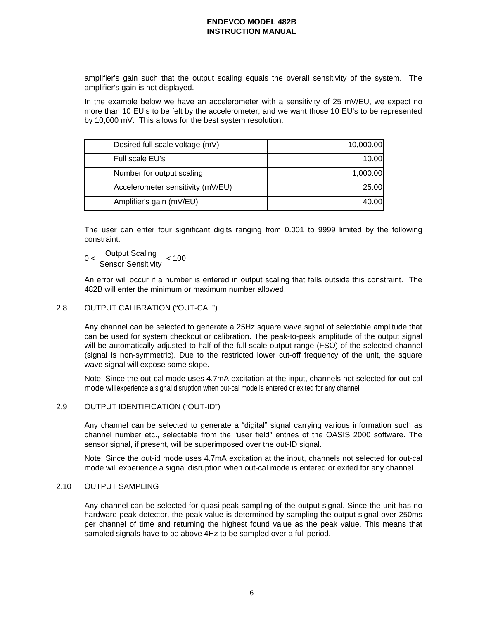amplifier's gain such that the output scaling equals the overall sensitivity of the system. The amplifier's gain is not displayed.

In the example below we have an accelerometer with a sensitivity of 25 mV/EU, we expect no more than 10 EU's to be felt by the accelerometer, and we want those 10 EU's to be represented by 10,000 mV. This allows for the best system resolution.

| Desired full scale voltage (mV)   | 10,000.00 |
|-----------------------------------|-----------|
| Full scale EU's                   | 10.00     |
| Number for output scaling         | 1,000.00  |
| Accelerometer sensitivity (mV/EU) | 25.00     |
| Amplifier's gain (mV/EU)          | 40.00     |

The user can enter four significant digits ranging from 0.001 to 9999 limited by the following constraint.

 $0 \leq \frac{$ Output Scaling  $\frac{\text{Ca} + \text{Ca} + \text{Ca} + \text{Ca}}{\text{Sensor Sensitivity}} \leq 100$ 

An error will occur if a number is entered in output scaling that falls outside this constraint. The 482B will enter the minimum or maximum number allowed.

## 2.8 OUTPUT CALIBRATION ("OUT-CAL")

Any channel can be selected to generate a 25Hz square wave signal of selectable amplitude that can be used for system checkout or calibration. The peak-to-peak amplitude of the output signal will be automatically adjusted to half of the full-scale output range (FSO) of the selected channel (signal is non-symmetric). Due to the restricted lower cut-off frequency of the unit, the square wave signal will expose some slope.

Note: Since the out-cal mode uses 4.7mA excitation at the input, channels not selected for out-cal mode willexperience a signal disruption when out-cal mode is entered or exited for any channel

#### 2.9 OUTPUT IDENTIFICATION ("OUT-ID")

Any channel can be selected to generate a "digital" signal carrying various information such as channel number etc., selectable from the "user field" entries of the OASIS 2000 software. The sensor signal, if present, will be superimposed over the out-ID signal.

Note: Since the out-id mode uses 4.7mA excitation at the input, channels not selected for out-cal mode will experience a signal disruption when out-cal mode is entered or exited for any channel.

## 2.10 OUTPUT SAMPLING

Any channel can be selected for quasi-peak sampling of the output signal. Since the unit has no hardware peak detector, the peak value is determined by sampling the output signal over 250ms per channel of time and returning the highest found value as the peak value. This means that sampled signals have to be above 4Hz to be sampled over a full period.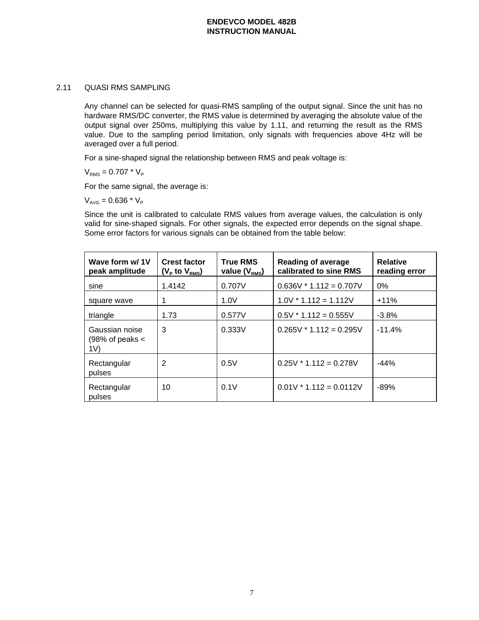## 2.11 QUASI RMS SAMPLING

Any channel can be selected for quasi-RMS sampling of the output signal. Since the unit has no hardware RMS/DC converter, the RMS value is determined by averaging the absolute value of the output signal over 250ms, multiplying this value by 1.11, and returning the result as the RMS value. Due to the sampling period limitation, only signals with frequencies above 4Hz will be averaged over a full period.

For a sine-shaped signal the relationship between RMS and peak voltage is:

 $V_{RMS} = 0.707 * V_{P}$ 

For the same signal, the average is:

 $V_{AVG} = 0.636 * V_{P}$ 

Since the unit is calibrated to calculate RMS values from average values, the calculation is only valid for sine-shaped signals. For other signals, the expected error depends on the signal shape. Some error factors for various signals can be obtained from the table below:

| Wave form w/1V<br>peak amplitude                    | <b>Crest factor</b><br>$(V_P$ to $V_{RMS}$ | <b>True RMS</b><br>value $(V_{RMS})$ | <b>Reading of average</b><br>calibrated to sine RMS | <b>Relative</b><br>reading error |
|-----------------------------------------------------|--------------------------------------------|--------------------------------------|-----------------------------------------------------|----------------------------------|
| sine                                                | 1.4142                                     | 0.707V                               | $0.636V * 1.112 = 0.707V$                           | $0\%$                            |
| square wave                                         |                                            | 1.0V                                 | $1.0V * 1.112 = 1.112V$                             | $+11%$                           |
| triangle                                            | 1.73                                       | 0.577V                               | $0.5V * 1.112 = 0.555V$                             | $-3.8\%$                         |
| Gaussian noise<br>$(98\% \text{ of peaks} <$<br>1V) | 3                                          | 0.333V                               | $0.265V * 1.112 = 0.295V$                           | $-11.4%$                         |
| Rectangular<br>pulses                               | $\overline{2}$                             | 0.5V                                 | $0.25V * 1.112 = 0.278V$                            | $-44%$                           |
| Rectangular<br>pulses                               | 10                                         | 0.1V                                 | $0.01V * 1.112 = 0.0112V$                           | $-89%$                           |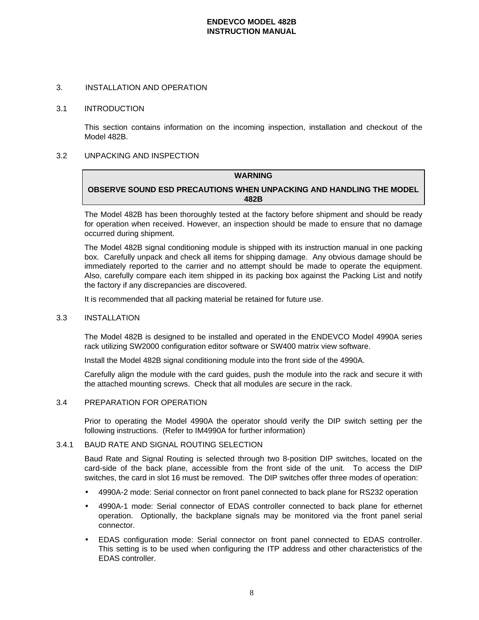#### 3. INSTALLATION AND OPERATION

#### 3.1 INTRODUCTION

This section contains information on the incoming inspection, installation and checkout of the Model 482B.

## 3.2 UNPACKING AND INSPECTION

# **WARNING OBSERVE SOUND ESD PRECAUTIONS WHEN UNPACKING AND HANDLING THE MODEL 482B**

The Model 482B has been thoroughly tested at the factory before shipment and should be ready for operation when received. However, an inspection should be made to ensure that no damage occurred during shipment.

The Model 482B signal conditioning module is shipped with its instruction manual in one packing box. Carefully unpack and check all items for shipping damage. Any obvious damage should be immediately reported to the carrier and no attempt should be made to operate the equipment. Also, carefully compare each item shipped in its packing box against the Packing List and notify the factory if any discrepancies are discovered.

It is recommended that all packing material be retained for future use.

#### 3.3 INSTALLATION

The Model 482B is designed to be installed and operated in the ENDEVCO Model 4990A series rack utilizing SW2000 configuration editor software or SW400 matrix view software.

Install the Model 482B signal conditioning module into the front side of the 4990A.

Carefully align the module with the card guides, push the module into the rack and secure it with the attached mounting screws. Check that all modules are secure in the rack.

#### 3.4 PREPARATION FOR OPERATION

Prior to operating the Model 4990A the operator should verify the DIP switch setting per the following instructions. (Refer to IM4990A for further information)

#### 3.4.1 BAUD RATE AND SIGNAL ROUTING SELECTION

Baud Rate and Signal Routing is selected through two 8-position DIP switches, located on the card-side of the back plane, accessible from the front side of the unit. To access the DIP switches, the card in slot 16 must be removed. The DIP switches offer three modes of operation:

- 4990A-2 mode: Serial connector on front panel connected to back plane for RS232 operation
- 4990A-1 mode: Serial connector of EDAS controller connected to back plane for ethernet operation. Optionally, the backplane signals may be monitored via the front panel serial connector.
- EDAS configuration mode: Serial connector on front panel connected to EDAS controller. This setting is to be used when configuring the ITP address and other characteristics of the EDAS controller.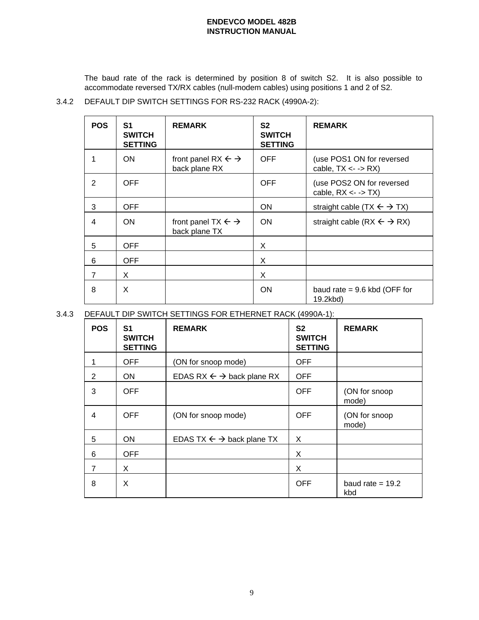The baud rate of the rack is determined by position 8 of switch S2. It is also possible to accommodate reversed TX/RX cables (null-modem cables) using positions 1 and 2 of S2.

3.4.2 DEFAULT DIP SWITCH SETTINGS FOR RS-232 RACK (4990A-2):

| <b>POS</b>     | S1<br><b>SWITCH</b><br><b>SETTING</b> | <b>REMARK</b>                                            | S <sub>2</sub><br><b>SWITCH</b><br><b>SETTING</b> | <b>REMARK</b>                                                      |
|----------------|---------------------------------------|----------------------------------------------------------|---------------------------------------------------|--------------------------------------------------------------------|
| 1              | <b>ON</b>                             | front panel RX $\leftarrow \rightarrow$<br>back plane RX | <b>OFF</b>                                        | (use POS1 ON for reversed<br>cable, $TX \leftarrow \rightarrow RX$ |
| 2              | <b>OFF</b>                            |                                                          | <b>OFF</b>                                        | (use POS2 ON for reversed<br>cable, $RX \leftarrow \neg Y$         |
| 3              | <b>OFF</b>                            |                                                          | <b>ON</b>                                         | straight cable (TX $\leftarrow$ $\rightarrow$ TX)                  |
| 4              | <b>ON</b>                             | front panel TX $\leftarrow \rightarrow$<br>back plane TX | <b>ON</b>                                         | straight cable (RX $\leftarrow$ $\rightarrow$ RX)                  |
| 5              | <b>OFF</b>                            |                                                          | X                                                 |                                                                    |
| 6              | <b>OFF</b>                            |                                                          | X                                                 |                                                                    |
| $\overline{7}$ | X                                     |                                                          | X                                                 |                                                                    |
| 8              | X                                     |                                                          | <b>ON</b>                                         | baud rate = $9.6$ kbd (OFF for<br>19.2kbd)                         |

3.4.3 DEFAULT DIP SWITCH SETTINGS FOR ETHERNET RACK (4990A-1):

| <b>POS</b> | S1<br><b>SWITCH</b><br><b>SETTING</b> | <b>REMARK</b>                                  | S <sub>2</sub><br><b>SWITCH</b><br><b>SETTING</b> | <b>REMARK</b>             |
|------------|---------------------------------------|------------------------------------------------|---------------------------------------------------|---------------------------|
|            | <b>OFF</b>                            | (ON for snoop mode)                            | <b>OFF</b>                                        |                           |
| 2          | <b>ON</b>                             | EDAS RX $\leftarrow \rightarrow$ back plane RX | <b>OFF</b>                                        |                           |
| 3          | <b>OFF</b>                            |                                                | <b>OFF</b>                                        | (ON for snoop<br>mode)    |
| 4          | <b>OFF</b>                            | (ON for snoop mode)                            | <b>OFF</b>                                        | (ON for snoop<br>mode)    |
| 5          | ON.                                   | EDAS TX $\leftarrow \rightarrow$ back plane TX | X                                                 |                           |
| 6          | <b>OFF</b>                            |                                                | X                                                 |                           |
| 7          | X                                     |                                                | X                                                 |                           |
| 8          | X                                     |                                                | <b>OFF</b>                                        | baud rate = $19.2$<br>kbd |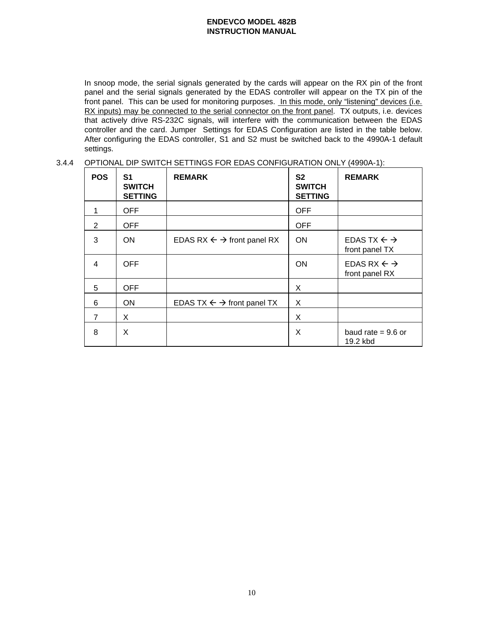In snoop mode, the serial signals generated by the cards will appear on the RX pin of the front panel and the serial signals generated by the EDAS controller will appear on the TX pin of the front panel. This can be used for monitoring purposes. In this mode, only "listening" devices (i.e. RX inputs) may be connected to the serial connector on the front panel. TX outputs, i.e. devices that actively drive RS-232C signals, will interfere with the communication between the EDAS controller and the card. Jumper Settings for EDAS Configuration are listed in the table below. After configuring the EDAS controller, S1 and S2 must be switched back to the 4990A-1 default settings.

## 3.4.4 OPTIONAL DIP SWITCH SETTINGS FOR EDAS CONFIGURATION ONLY (4990A-1):

| <b>POS</b>     | S1<br><b>SWITCH</b><br><b>SETTING</b> | <b>REMARK</b>                                     | S <sub>2</sub><br><b>SWITCH</b><br><b>SETTING</b> | <b>REMARK</b>                                      |
|----------------|---------------------------------------|---------------------------------------------------|---------------------------------------------------|----------------------------------------------------|
| 1              | <b>OFF</b>                            |                                                   | <b>OFF</b>                                        |                                                    |
| 2              | <b>OFF</b>                            |                                                   | <b>OFF</b>                                        |                                                    |
| 3              | <b>ON</b>                             | EDAS RX $\leftarrow \rightarrow$ front panel RX   | <b>ON</b>                                         | EDAS TX $\leftarrow \rightarrow$<br>front panel TX |
| $\overline{4}$ | <b>OFF</b>                            |                                                   | <b>ON</b>                                         | EDAS RX $\leftarrow \rightarrow$<br>front panel RX |
| 5              | <b>OFF</b>                            |                                                   | X                                                 |                                                    |
| 6              | <b>ON</b>                             | EDAS TX $\leftarrow$ $\rightarrow$ front panel TX | X                                                 |                                                    |
| $\overline{7}$ | X                                     |                                                   | X                                                 |                                                    |
| 8              | X                                     |                                                   | X                                                 | baud rate $= 9.6$ or<br>19.2 kbd                   |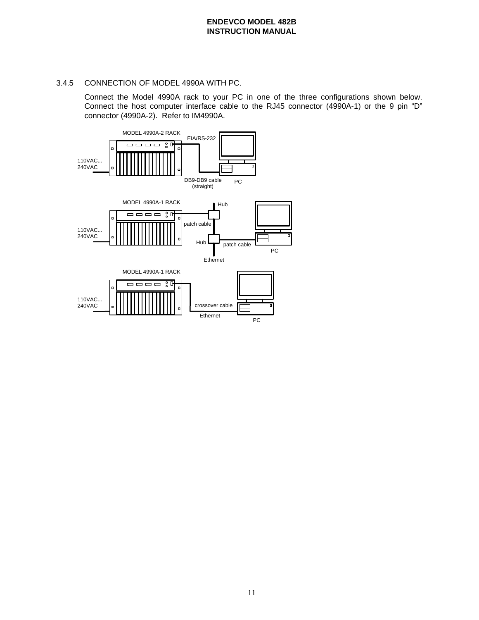## 3.4.5 CONNECTION OF MODEL 4990A WITH PC.

Connect the Model 4990A rack to your PC in one of the three configurations shown below. Connect the host computer interface cable to the RJ45 connector (4990A-1) or the 9 pin "D" connector (4990A-2). Refer to IM4990A.

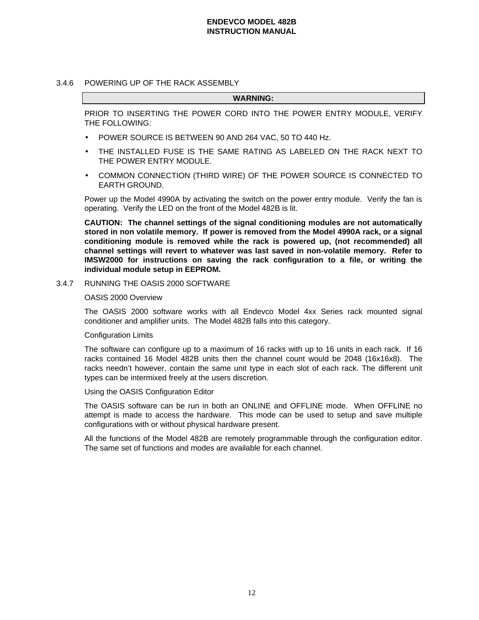#### 3.4.6 POWERING UP OF THE RACK ASSEMBLY

#### **WARNING:**

PRIOR TO INSERTING THE POWER CORD INTO THE POWER ENTRY MODULE, VERIFY THE FOLLOWING:

- POWER SOURCE IS BETWEEN 90 AND 264 VAC, 50 TO 440 Hz.
- THE INSTALLED FUSE IS THE SAME RATING AS LABELED ON THE RACK NEXT TO THE POWER ENTRY MODULE.
- COMMON CONNECTION (THIRD WIRE) OF THE POWER SOURCE IS CONNECTED TO EARTH GROUND.

Power up the Model 4990A by activating the switch on the power entry module. Verify the fan is operating. Verify the LED on the front of the Model 482B is lit.

**CAUTION: The channel settings of the signal conditioning modules are not automatically stored in non volatile memory. If power is removed from the Model 4990A rack, or a signal conditioning module is removed while the rack is powered up, (not recommended) all channel settings will revert to whatever was last saved in non-volatile memory. Refer to IMSW2000 for instructions on saving the rack configuration to a file, or writing the individual module setup in EEPROM.**

3.4.7 RUNNING THE OASIS 2000 SOFTWARE

## OASIS 2000 Overview

The OASIS 2000 software works with all Endevco Model 4xx Series rack mounted signal conditioner and amplifier units. The Model 482B falls into this category.

## Configuration Limits

The software can configure up to a maximum of 16 racks with up to 16 units in each rack. If 16 racks contained 16 Model 482B units then the channel count would be 2048 (16x16x8). The racks needn't however, contain the same unit type in each slot of each rack. The different unit types can be intermixed freely at the users discretion.

#### Using the OASIS Configuration Editor

The OASIS software can be run in both an ONLINE and OFFLINE mode. When OFFLINE no attempt is made to access the hardware. This mode can be used to setup and save multiple configurations with or without physical hardware present.

All the functions of the Model 482B are remotely programmable through the configuration editor. The same set of functions and modes are available for each channel.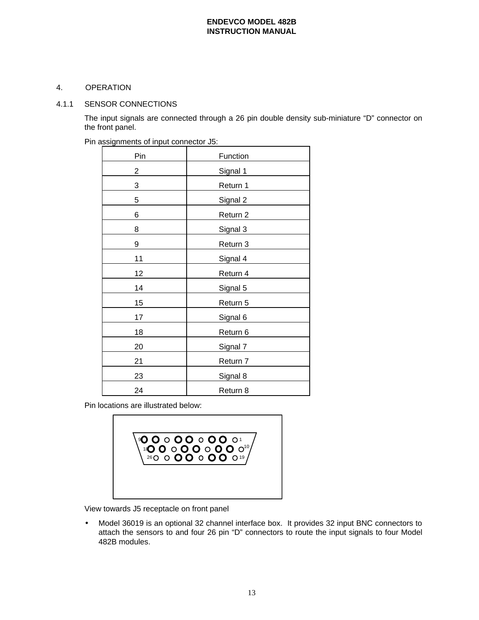# 4. OPERATION

## 4.1.1 SENSOR CONNECTIONS

The input signals are connected through a 26 pin double density sub-miniature "D" connector on the front panel.

| Pin | Function |
|-----|----------|
| 2   | Signal 1 |
| 3   | Return 1 |
| 5   | Signal 2 |
| 6   | Return 2 |
| 8   | Signal 3 |
| 9   | Return 3 |
| 11  | Signal 4 |
| 12  | Return 4 |
| 14  | Signal 5 |
| 15  | Return 5 |
| 17  | Signal 6 |
| 18  | Return 6 |
| 20  | Signal 7 |
| 21  | Return 7 |
| 23  | Signal 8 |
| 24  | Return 8 |

Pin assignments of input connector J5:

Pin locations are illustrated below:



View towards J5 receptacle on front panel

• Model 36019 is an optional 32 channel interface box. It provides 32 input BNC connectors to attach the sensors to and four 26 pin "D" connectors to route the input signals to four Model 482B modules.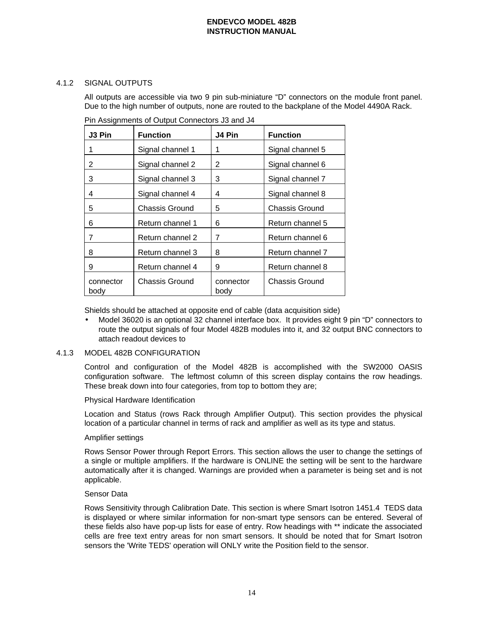# 4.1.2 SIGNAL OUTPUTS

All outputs are accessible via two 9 pin sub-miniature "D" connectors on the module front panel. Due to the high number of outputs, none are routed to the backplane of the Model 4490A Rack.

| J3 Pin            | <b>Function</b>       | J4 Pin            | <b>Function</b>       |
|-------------------|-----------------------|-------------------|-----------------------|
| 1                 | Signal channel 1      | 1                 | Signal channel 5      |
| 2                 | Signal channel 2      | 2                 | Signal channel 6      |
| 3                 | Signal channel 3      | 3                 | Signal channel 7      |
| 4                 | Signal channel 4      | 4                 | Signal channel 8      |
| 5                 | <b>Chassis Ground</b> | 5                 | <b>Chassis Ground</b> |
| 6                 | Return channel 1      | 6                 | Return channel 5      |
| 7                 | Return channel 2      | 7                 | Return channel 6      |
| 8                 | Return channel 3      | 8                 | Return channel 7      |
| 9                 | Return channel 4      | 9                 | Return channel 8      |
| connector<br>body | Chassis Ground        | connector<br>body | Chassis Ground        |

Pin Assignments of Output Connectors J3 and J4

Shields should be attached at opposite end of cable (data acquisition side)

• Model 36020 is an optional 32 channel interface box. It provides eight 9 pin "D" connectors to route the output signals of four Model 482B modules into it, and 32 output BNC connectors to attach readout devices to

# 4.1.3 MODEL 482B CONFIGURATION

Control and configuration of the Model 482B is accomplished with the SW2000 OASIS configuration software. The leftmost column of this screen display contains the row headings. These break down into four categories, from top to bottom they are;

#### Physical Hardware Identification

Location and Status (rows Rack through Amplifier Output). This section provides the physical location of a particular channel in terms of rack and amplifier as well as its type and status.

## Amplifier settings

Rows Sensor Power through Report Errors. This section allows the user to change the settings of a single or multiple amplifiers. If the hardware is ONLINE the setting will be sent to the hardware automatically after it is changed. Warnings are provided when a parameter is being set and is not applicable.

## Sensor Data

Rows Sensitivity through Calibration Date. This section is where Smart Isotron 1451.4 TEDS data is displayed or where similar information for non-smart type sensors can be entered. Several of these fields also have pop-up lists for ease of entry. Row headings with \*\* indicate the associated cells are free text entry areas for non smart sensors. It should be noted that for Smart Isotron sensors the 'Write TEDS' operation will ONLY write the Position field to the sensor.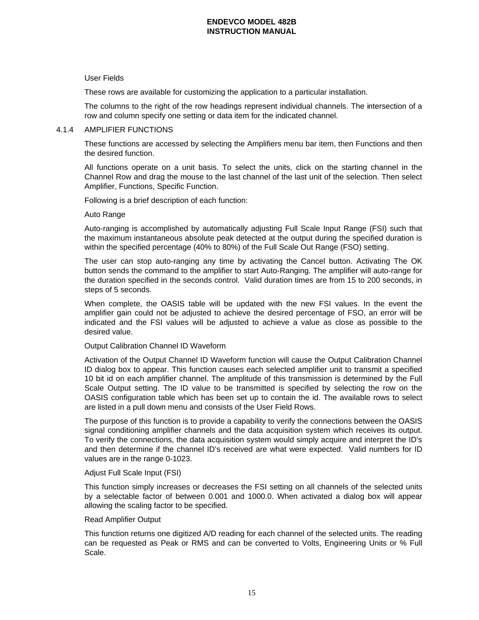## User Fields

These rows are available for customizing the application to a particular installation.

The columns to the right of the row headings represent individual channels. The intersection of a row and column specify one setting or data item for the indicated channel.

#### 4.1.4 AMPLIFIER FUNCTIONS

These functions are accessed by selecting the Amplifiers menu bar item, then Functions and then the desired function.

All functions operate on a unit basis. To select the units, click on the starting channel in the Channel Row and drag the mouse to the last channel of the last unit of the selection. Then select Amplifier, Functions, Specific Function.

Following is a brief description of each function:

#### Auto Range

Auto-ranging is accomplished by automatically adjusting Full Scale Input Range (FSI) such that the maximum instantaneous absolute peak detected at the output during the specified duration is within the specified percentage (40% to 80%) of the Full Scale Out Range (FSO) setting.

The user can stop auto-ranging any time by activating the Cancel button. Activating The OK button sends the command to the amplifier to start Auto-Ranging. The amplifier will auto-range for the duration specified in the seconds control. Valid duration times are from 15 to 200 seconds, in steps of 5 seconds.

When complete, the OASIS table will be updated with the new FSI values. In the event the amplifier gain could not be adjusted to achieve the desired percentage of FSO, an error will be indicated and the FSI values will be adjusted to achieve a value as close as possible to the desired value.

## Output Calibration Channel ID Waveform

Activation of the Output Channel ID Waveform function will cause the Output Calibration Channel ID dialog box to appear. This function causes each selected amplifier unit to transmit a specified 10 bit id on each amplifier channel. The amplitude of this transmission is determined by the Full Scale Output setting. The ID value to be transmitted is specified by selecting the row on the OASIS configuration table which has been set up to contain the id. The available rows to select are listed in a pull down menu and consists of the User Field Rows.

The purpose of this function is to provide a capability to verify the connections between the OASIS signal conditioning amplifier channels and the data acquisition system which receives its output. To verify the connections, the data acquisition system would simply acquire and interpret the ID's and then determine if the channel ID's received are what were expected. Valid numbers for ID values are in the range 0-1023.

#### Adjust Full Scale Input (FSI)

This function simply increases or decreases the FSI setting on all channels of the selected units by a selectable factor of between 0.001 and 1000.0. When activated a dialog box will appear allowing the scaling factor to be specified.

#### Read Amplifier Output

This function returns one digitized A/D reading for each channel of the selected units. The reading can be requested as Peak or RMS and can be converted to Volts, Engineering Units or % Full Scale.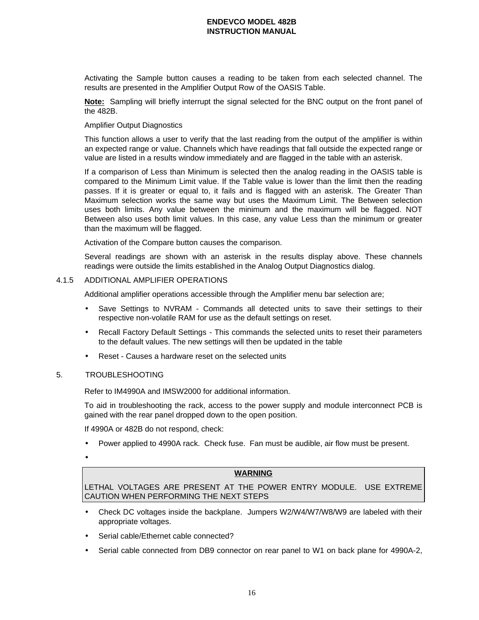Activating the Sample button causes a reading to be taken from each selected channel. The results are presented in the Amplifier Output Row of the OASIS Table.

**Note:** Sampling will briefly interrupt the signal selected for the BNC output on the front panel of the 482B.

## Amplifier Output Diagnostics

This function allows a user to verify that the last reading from the output of the amplifier is within an expected range or value. Channels which have readings that fall outside the expected range or value are listed in a results window immediately and are flagged in the table with an asterisk.

If a comparison of Less than Minimum is selected then the analog reading in the OASIS table is compared to the Minimum Limit value. If the Table value is lower than the limit then the reading passes. If it is greater or equal to, it fails and is flagged with an asterisk. The Greater Than Maximum selection works the same way but uses the Maximum Limit. The Between selection uses both limits. Any value between the minimum and the maximum will be flagged. NOT Between also uses both limit values. In this case, any value Less than the minimum or greater than the maximum will be flagged.

Activation of the Compare button causes the comparison.

Several readings are shown with an asterisk in the results display above. These channels readings were outside the limits established in the Analog Output Diagnostics dialog.

#### 4.1.5 ADDITIONAL AMPLIFIER OPERATIONS

Additional amplifier operations accessible through the Amplifier menu bar selection are;

- Save Settings to NVRAM Commands all detected units to save their settings to their respective non-volatile RAM for use as the default settings on reset.
- Recall Factory Default Settings This commands the selected units to reset their parameters to the default values. The new settings will then be updated in the table
- Reset Causes a hardware reset on the selected units

### 5. TROUBLESHOOTING

Refer to IM4990A and IMSW2000 for additional information.

To aid in troubleshooting the rack, access to the power supply and module interconnect PCB is gained with the rear panel dropped down to the open position.

If 4990A or 482B do not respond, check:

- Power applied to 4990A rack. Check fuse. Fan must be audible, air flow must be present.
- •

#### **WARNING**

LETHAL VOLTAGES ARE PRESENT AT THE POWER ENTRY MODULE. USE EXTREME CAUTION WHEN PERFORMING THE NEXT STEPS

- Check DC voltages inside the backplane. Jumpers W2/W4/W7/W8/W9 are labeled with their appropriate voltages.
- Serial cable/Ethernet cable connected?
- Serial cable connected from DB9 connector on rear panel to W1 on back plane for 4990A-2,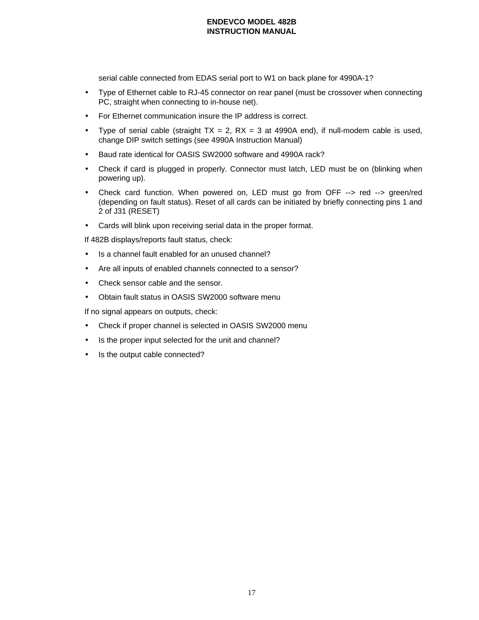serial cable connected from EDAS serial port to W1 on back plane for 4990A-1?

- Type of Ethernet cable to RJ-45 connector on rear panel (must be crossover when connecting PC, straight when connecting to in-house net).
- For Ethernet communication insure the IP address is correct.
- Type of serial cable (straight  $TX = 2$ ,  $RX = 3$  at 4990A end), if null-modem cable is used, change DIP switch settings (see 4990A Instruction Manual)
- Baud rate identical for OASIS SW2000 software and 4990A rack?
- Check if card is plugged in properly. Connector must latch, LED must be on (blinking when powering up).
- Check card function. When powered on, LED must go from OFF --> red --> green/red (depending on fault status). Reset of all cards can be initiated by briefly connecting pins 1 and 2 of J31 (RESET)
- Cards will blink upon receiving serial data in the proper format.

If 482B displays/reports fault status, check:

- Is a channel fault enabled for an unused channel?
- Are all inputs of enabled channels connected to a sensor?
- Check sensor cable and the sensor.
- Obtain fault status in OASIS SW2000 software menu

If no signal appears on outputs, check:

- Check if proper channel is selected in OASIS SW2000 menu
- Is the proper input selected for the unit and channel?
- Is the output cable connected?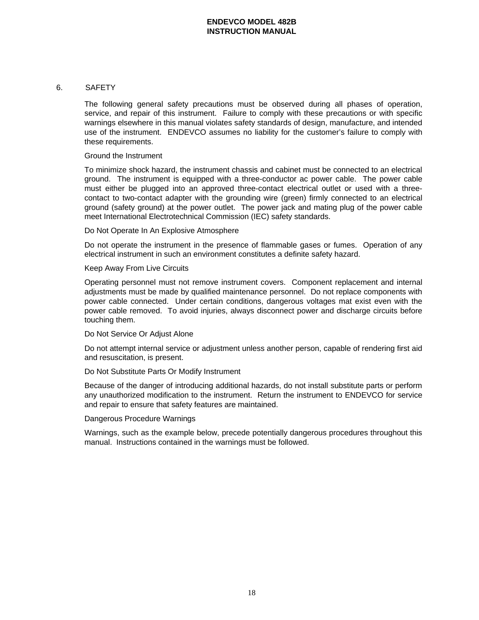## 6. SAFETY

The following general safety precautions must be observed during all phases of operation, service, and repair of this instrument. Failure to comply with these precautions or with specific warnings elsewhere in this manual violates safety standards of design, manufacture, and intended use of the instrument. ENDEVCO assumes no liability for the customer's failure to comply with these requirements.

#### Ground the Instrument

To minimize shock hazard, the instrument chassis and cabinet must be connected to an electrical ground. The instrument is equipped with a three-conductor ac power cable. The power cable must either be plugged into an approved three-contact electrical outlet or used with a threecontact to two-contact adapter with the grounding wire (green) firmly connected to an electrical ground (safety ground) at the power outlet. The power jack and mating plug of the power cable meet International Electrotechnical Commission (IEC) safety standards.

#### Do Not Operate In An Explosive Atmosphere

Do not operate the instrument in the presence of flammable gases or fumes. Operation of any electrical instrument in such an environment constitutes a definite safety hazard.

#### Keep Away From Live Circuits

Operating personnel must not remove instrument covers. Component replacement and internal adjustments must be made by qualified maintenance personnel. Do not replace components with power cable connected. Under certain conditions, dangerous voltages mat exist even with the power cable removed. To avoid injuries, always disconnect power and discharge circuits before touching them.

#### Do Not Service Or Adjust Alone

Do not attempt internal service or adjustment unless another person, capable of rendering first aid and resuscitation, is present.

## Do Not Substitute Parts Or Modify Instrument

Because of the danger of introducing additional hazards, do not install substitute parts or perform any unauthorized modification to the instrument. Return the instrument to ENDEVCO for service and repair to ensure that safety features are maintained.

## Dangerous Procedure Warnings

Warnings, such as the example below, precede potentially dangerous procedures throughout this manual. Instructions contained in the warnings must be followed.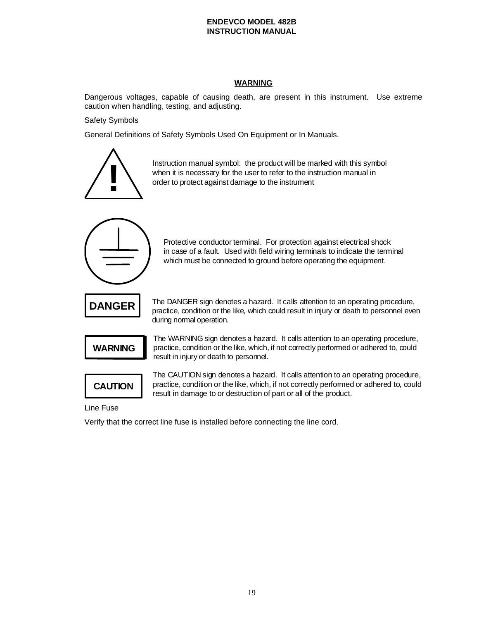# **WARNING**

Dangerous voltages, capable of causing death, are present in this instrument. Use extreme caution when handling, testing, and adjusting.

Safety Symbols

General Definitions of Safety Symbols Used On Equipment or In Manuals.



Instruction manual symbol: the product will be marked with this symbol when it is necessary for the user to refer to the instruction manual in order to protect against damage to the instrument



Protective conductor terminal. For protection against electrical shock in case of a fault. Used with field wiring terminals to indicate the terminal which must be connected to ground before operating the equipment.



The DANGER sign denotes a hazard. It calls attention to an operating procedure, practice, condition or the like, which could result in injury or death to personnel even during normal operation.



The WARNING sign denotes a hazard. It calls attention to an operating procedure, practice, condition or the like, which, if not correctly performed or adhered to, could result in injury or death to personnel.



The CAUTION sign denotes a hazard. It calls attention to an operating procedure, practice, condition or the like, which, if not correctly performed or adhered to, could result in damage to or destruction of part or all of the product.

Line Fuse

Verify that the correct line fuse is installed before connecting the line cord.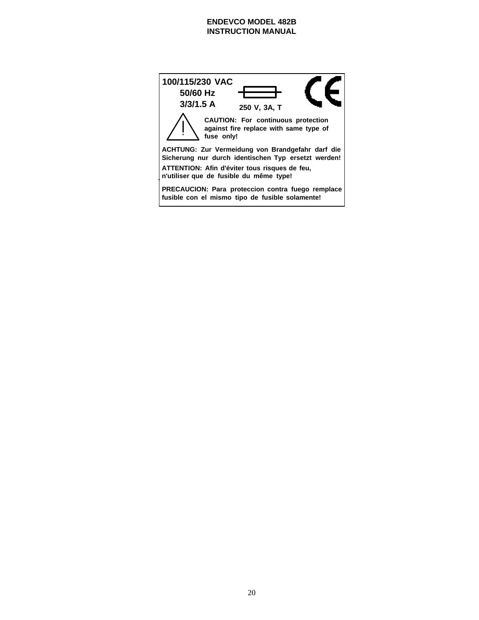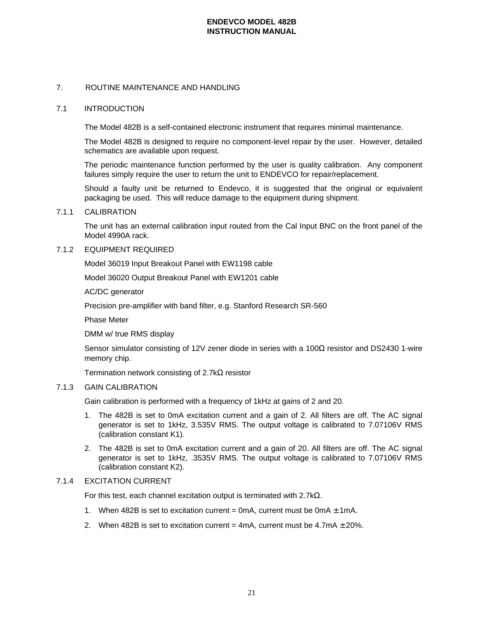## 7. ROUTINE MAINTENANCE AND HANDLING

#### 7.1 INTRODUCTION

The Model 482B is a self-contained electronic instrument that requires minimal maintenance.

The Model 482B is designed to require no component-level repair by the user. However, detailed schematics are available upon request.

The periodic maintenance function performed by the user is quality calibration. Any component failures simply require the user to return the unit to ENDEVCO for repair/replacement.

Should a faulty unit be returned to Endevco, it is suggested that the original or equivalent packaging be used. This will reduce damage to the equipment during shipment.

#### 7.1.1 CALIBRATION

The unit has an external calibration input routed from the Cal Input BNC on the front panel of the Model 4990A rack.

#### 7.1.2 EQUIPMENT REQUIRED

Model 36019 Input Breakout Panel with EW1198 cable

Model 36020 Output Breakout Panel with EW1201 cable

AC/DC generator

Precision pre-amplifier with band filter, e.g. Stanford Research SR-560

Phase Meter

DMM w/ true RMS display

Sensor simulator consisting of 12V zener diode in series with a 100Ω resistor and DS2430 1-wire memory chip.

Termination network consisting of 2.7kΩ resistor

#### 7.1.3 GAIN CALIBRATION

Gain calibration is performed with a frequency of 1kHz at gains of 2 and 20.

- 1. The 482B is set to 0mA excitation current and a gain of 2. All filters are off. The AC signal generator is set to 1kHz, 3.535V RMS. The output voltage is calibrated to 7.07106V RMS (calibration constant K1).
- 2. The 482B is set to 0mA excitation current and a gain of 20. All filters are off. The AC signal generator is set to 1kHz, .3535V RMS. The output voltage is calibrated to 7.07106V RMS (calibration constant K2).

## 7.1.4 EXCITATION CURRENT

For this test, each channel excitation output is terminated with 2.7kΩ.

- 1. When 482B is set to excitation current = 0mA, current must be 0mA  $\pm$  1mA.
- 2. When 482B is set to excitation current = 4mA, current must be  $4.7mA \pm 20\%$ .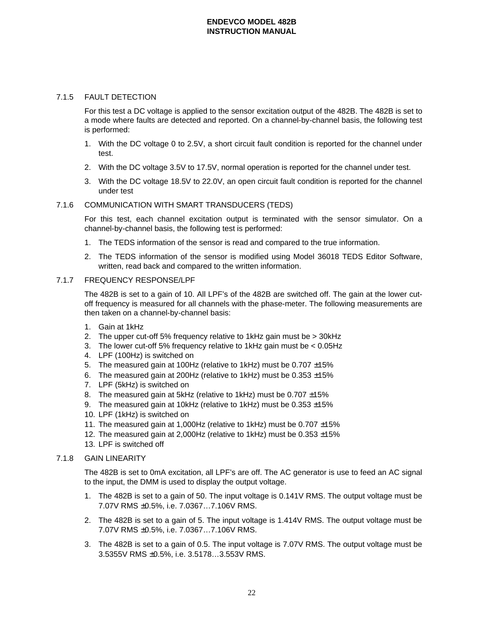## 7.1.5 FAULT DETECTION

For this test a DC voltage is applied to the sensor excitation output of the 482B. The 482B is set to a mode where faults are detected and reported. On a channel-by-channel basis, the following test is performed:

- 1. With the DC voltage 0 to 2.5V, a short circuit fault condition is reported for the channel under test.
- 2. With the DC voltage 3.5V to 17.5V, normal operation is reported for the channel under test.
- 3. With the DC voltage 18.5V to 22.0V, an open circuit fault condition is reported for the channel under test

# 7.1.6 COMMUNICATION WITH SMART TRANSDUCERS (TEDS)

For this test, each channel excitation output is terminated with the sensor simulator. On a channel-by-channel basis, the following test is performed:

- 1. The TEDS information of the sensor is read and compared to the true information.
- 2. The TEDS information of the sensor is modified using Model 36018 TEDS Editor Software, written, read back and compared to the written information.

# 7.1.7 FREQUENCY RESPONSE/LPF

The 482B is set to a gain of 10. All LPF's of the 482B are switched off. The gain at the lower cutoff frequency is measured for all channels with the phase-meter. The following measurements are then taken on a channel-by-channel basis:

- 1. Gain at 1kHz
- 2. The upper cut-off 5% frequency relative to 1kHz gain must be > 30kHz
- 3. The lower cut-off 5% frequency relative to 1kHz gain must be < 0.05Hz
- 4. LPF (100Hz) is switched on
- 5. The measured gain at 100Hz (relative to 1kHz) must be 0.707 ±15%
- 6. The measured gain at 200Hz (relative to 1kHz) must be  $0.353 \pm 15\%$
- 7. LPF (5kHz) is switched on
- 8. The measured gain at 5kHz (relative to 1kHz) must be  $0.707 \pm 15\%$
- 9. The measured gain at 10kHz (relative to 1kHz) must be  $0.353 \pm 15\%$
- 10. LPF (1kHz) is switched on
- 11. The measured gain at 1,000Hz (relative to 1kHz) must be 0.707 ±15%
- 12. The measured gain at 2,000Hz (relative to 1kHz) must be 0.353 ±15%
- 13. LPF is switched off

# 7.1.8 GAIN LINEARITY

The 482B is set to 0mA excitation, all LPF's are off. The AC generator is use to feed an AC signal to the input, the DMM is used to display the output voltage.

- 1. The 482B is set to a gain of 50. The input voltage is 0.141V RMS. The output voltage must be 7.07V RMS ±0.5%, i.e. 7.0367…7.106V RMS.
- 2. The 482B is set to a gain of 5. The input voltage is 1.414V RMS. The output voltage must be 7.07V RMS ±0.5%, i.e. 7.0367…7.106V RMS.
- 3. The 482B is set to a gain of 0.5. The input voltage is 7.07V RMS. The output voltage must be 3.5355V RMS ±0.5%, i.e. 3.5178…3.553V RMS.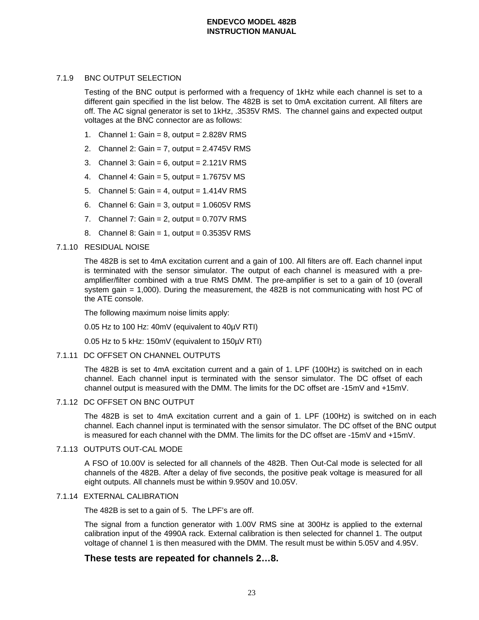# 7.1.9 BNC OUTPUT SELECTION

Testing of the BNC output is performed with a frequency of 1kHz while each channel is set to a different gain specified in the list below. The 482B is set to 0mA excitation current. All filters are off. The AC signal generator is set to 1kHz, .3535V RMS. The channel gains and expected output voltages at the BNC connector are as follows:

- 1. Channel 1: Gain =  $8$ , output =  $2.828V$  RMS
- 2. Channel 2: Gain = 7, output =  $2.4745V$  RMS
- 3. Channel 3: Gain =  $6$ , output =  $2.121V$  RMS
- 4. Channel 4: Gain =  $5$ , output =  $1.7675V$  MS
- 5. Channel 5: Gain = 4, output =  $1.414V$  RMS
- 6. Channel 6: Gain = 3, output =  $1.0605V$  RMS
- 7. Channel 7: Gain =  $2$ , output =  $0.707V$  RMS
- 8. Channel 8: Gain = 1, output = 0.3535V RMS

## 7.1.10 RESIDUAL NOISE

The 482B is set to 4mA excitation current and a gain of 100. All filters are off. Each channel input is terminated with the sensor simulator. The output of each channel is measured with a preamplifier/filter combined with a true RMS DMM. The pre-amplifier is set to a gain of 10 (overall system gain = 1,000). During the measurement, the 482B is not communicating with host PC of the ATE console.

The following maximum noise limits apply:

0.05 Hz to 100 Hz: 40mV (equivalent to 40µV RTI)

0.05 Hz to 5 kHz: 150mV (equivalent to 150µV RTI)

## 7.1.11 DC OFFSET ON CHANNEL OUTPUTS

The 482B is set to 4mA excitation current and a gain of 1. LPF (100Hz) is switched on in each channel. Each channel input is terminated with the sensor simulator. The DC offset of each channel output is measured with the DMM. The limits for the DC offset are -15mV and +15mV.

# 7.1.12 DC OFFSET ON BNC OUTPUT

The 482B is set to 4mA excitation current and a gain of 1. LPF (100Hz) is switched on in each channel. Each channel input is terminated with the sensor simulator. The DC offset of the BNC output is measured for each channel with the DMM. The limits for the DC offset are -15mV and +15mV.

# 7.1.13 OUTPUTS OUT-CAL MODE

A FSO of 10.00V is selected for all channels of the 482B. Then Out-Cal mode is selected for all channels of the 482B. After a delay of five seconds, the positive peak voltage is measured for all eight outputs. All channels must be within 9.950V and 10.05V.

#### 7.1.14 EXTERNAL CALIBRATION

The 482B is set to a gain of 5. The LPF's are off.

The signal from a function generator with 1.00V RMS sine at 300Hz is applied to the external calibration input of the 4990A rack. External calibration is then selected for channel 1. The output voltage of channel 1 is then measured with the DMM. The result must be within 5.05V and 4.95V.

# **These tests are repeated for channels 2…8.**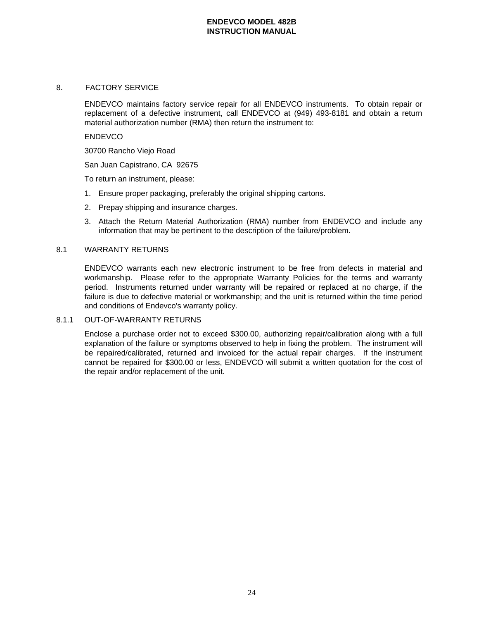## 8. FACTORY SERVICE

ENDEVCO maintains factory service repair for all ENDEVCO instruments. To obtain repair or replacement of a defective instrument, call ENDEVCO at (949) 493-8181 and obtain a return material authorization number (RMA) then return the instrument to:

#### **ENDEVCO**

30700 Rancho Viejo Road

San Juan Capistrano, CA 92675

To return an instrument, please:

- 1. Ensure proper packaging, preferably the original shipping cartons.
- 2. Prepay shipping and insurance charges.
- 3. Attach the Return Material Authorization (RMA) number from ENDEVCO and include any information that may be pertinent to the description of the failure/problem.

## 8.1 WARRANTY RETURNS

ENDEVCO warrants each new electronic instrument to be free from defects in material and workmanship. Please refer to the appropriate Warranty Policies for the terms and warranty period. Instruments returned under warranty will be repaired or replaced at no charge, if the failure is due to defective material or workmanship; and the unit is returned within the time period and conditions of Endevco's warranty policy.

#### 8.1.1 OUT-OF-WARRANTY RETURNS

Enclose a purchase order not to exceed \$300.00, authorizing repair/calibration along with a full explanation of the failure or symptoms observed to help in fixing the problem. The instrument will be repaired/calibrated, returned and invoiced for the actual repair charges. If the instrument cannot be repaired for \$300.00 or less, ENDEVCO will submit a written quotation for the cost of the repair and/or replacement of the unit.